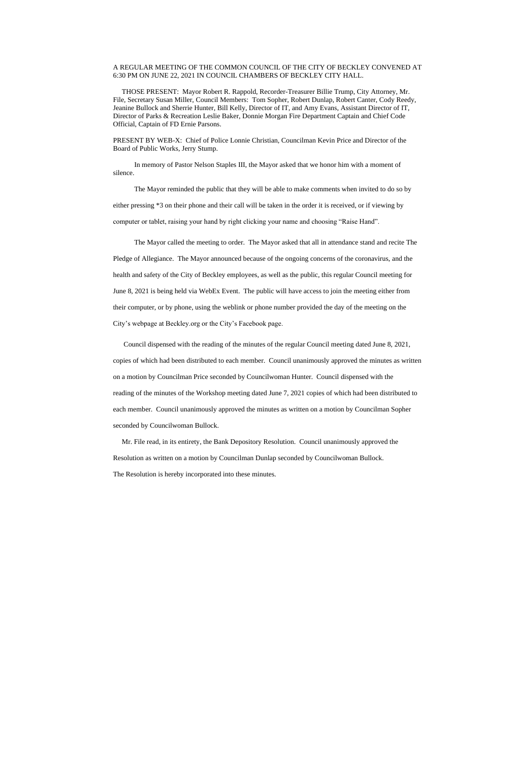## A REGULAR MEETING OF THE COMMON COUNCIL OF THE CITY OF BECKLEY CONVENED AT 6:30 PM ON JUNE 22, 2021 IN COUNCIL CHAMBERS OF BECKLEY CITY HALL.

 THOSE PRESENT: Mayor Robert R. Rappold, Recorder-Treasurer Billie Trump, City Attorney, Mr. File, Secretary Susan Miller, Council Members: Tom Sopher, Robert Dunlap, Robert Canter, Cody Reedy, Jeanine Bullock and Sherrie Hunter, Bill Kelly, Director of IT, and Amy Evans, Assistant Director of IT, Director of Parks & Recreation Leslie Baker, Donnie Morgan Fire Department Captain and Chief Code Official, Captain of FD Ernie Parsons.

PRESENT BY WEB-X: Chief of Police Lonnie Christian, Councilman Kevin Price and Director of the Board of Public Works, Jerry Stump.

 In memory of Pastor Nelson Staples III, the Mayor asked that we honor him with a moment of silence.

The Mayor reminded the public that they will be able to make comments when invited to do so by either pressing \*3 on their phone and their call will be taken in the order it is received, or if viewing by computer or tablet, raising your hand by right clicking your name and choosing "Raise Hand".

The Mayor called the meeting to order. The Mayor asked that all in attendance stand and recite The Pledge of Allegiance. The Mayor announced because of the ongoing concerns of the coronavirus, and the health and safety of the City of Beckley employees, as well as the public, this regular Council meeting for June 8, 2021 is being held via WebEx Event. The public will have access to join the meeting either from their computer, or by phone, using the weblink or phone number provided the day of the meeting on the City's webpage at Beckley.org or the City's Facebook page.

 Council dispensed with the reading of the minutes of the regular Council meeting dated June 8, 2021, copies of which had been distributed to each member. Council unanimously approved the minutes as written on a motion by Councilman Price seconded by Councilwoman Hunter. Council dispensed with the reading of the minutes of the Workshop meeting dated June 7, 2021 copies of which had been distributed to each member. Council unanimously approved the minutes as written on a motion by Councilman Sopher seconded by Councilwoman Bullock.

 Mr. File read, in its entirety, the Bank Depository Resolution. Council unanimously approved the Resolution as written on a motion by Councilman Dunlap seconded by Councilwoman Bullock. The Resolution is hereby incorporated into these minutes.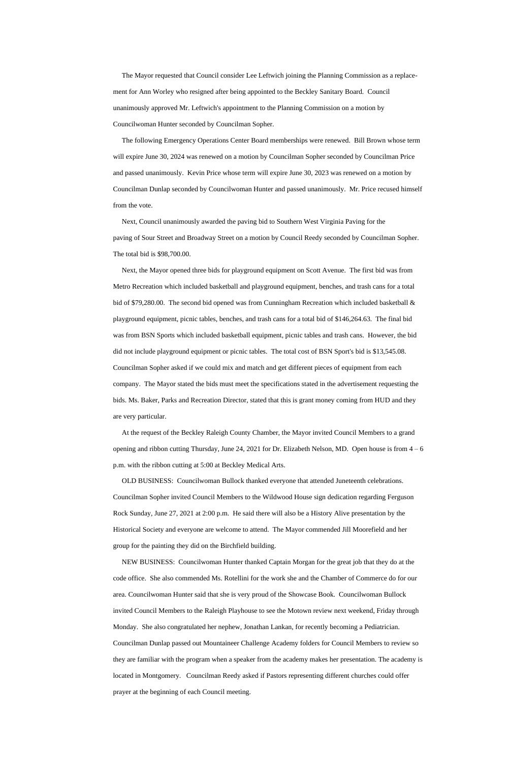The Mayor requested that Council consider Lee Leftwich joining the Planning Commission as a replacement for Ann Worley who resigned after being appointed to the Beckley Sanitary Board. Council unanimously approved Mr. Leftwich's appointment to the Planning Commission on a motion by Councilwoman Hunter seconded by Councilman Sopher.

 The following Emergency Operations Center Board memberships were renewed. Bill Brown whose term will expire June 30, 2024 was renewed on a motion by Councilman Sopher seconded by Councilman Price and passed unanimously. Kevin Price whose term will expire June 30, 2023 was renewed on a motion by Councilman Dunlap seconded by Councilwoman Hunter and passed unanimously. Mr. Price recused himself from the vote.

 Next, Council unanimously awarded the paving bid to Southern West Virginia Paving for the paving of Sour Street and Broadway Street on a motion by Council Reedy seconded by Councilman Sopher. The total bid is \$98,700.00.

 Next, the Mayor opened three bids for playground equipment on Scott Avenue. The first bid was from Metro Recreation which included basketball and playground equipment, benches, and trash cans for a total bid of \$79,280.00. The second bid opened was from Cunningham Recreation which included basketball & playground equipment, picnic tables, benches, and trash cans for a total bid of \$146,264.63. The final bid was from BSN Sports which included basketball equipment, picnic tables and trash cans. However, the bid did not include playground equipment or picnic tables. The total cost of BSN Sport's bid is \$13,545.08. Councilman Sopher asked if we could mix and match and get different pieces of equipment from each company. The Mayor stated the bids must meet the specifications stated in the advertisement requesting the bids. Ms. Baker, Parks and Recreation Director, stated that this is grant money coming from HUD and they are very particular.

 At the request of the Beckley Raleigh County Chamber, the Mayor invited Council Members to a grand opening and ribbon cutting Thursday, June 24, 2021 for Dr. Elizabeth Nelson, MD. Open house is from 4 – 6 p.m. with the ribbon cutting at 5:00 at Beckley Medical Arts.

 OLD BUSINESS: Councilwoman Bullock thanked everyone that attended Juneteenth celebrations. Councilman Sopher invited Council Members to the Wildwood House sign dedication regarding Ferguson Rock Sunday, June 27, 2021 at 2:00 p.m. He said there will also be a History Alive presentation by the

Historical Society and everyone are welcome to attend. The Mayor commended Jill Moorefield and her group for the painting they did on the Birchfield building.

 NEW BUSINESS: Councilwoman Hunter thanked Captain Morgan for the great job that they do at the code office. She also commended Ms. Rotellini for the work she and the Chamber of Commerce do for our area. Councilwoman Hunter said that she is very proud of the Showcase Book. Councilwoman Bullock invited Council Members to the Raleigh Playhouse to see the Motown review next weekend, Friday through Monday. She also congratulated her nephew, Jonathan Lankan, for recently becoming a Pediatrician. Councilman Dunlap passed out Mountaineer Challenge Academy folders for Council Members to review so they are familiar with the program when a speaker from the academy makes her presentation. The academy is located in Montgomery. Councilman Reedy asked if Pastors representing different churches could offer prayer at the beginning of each Council meeting.